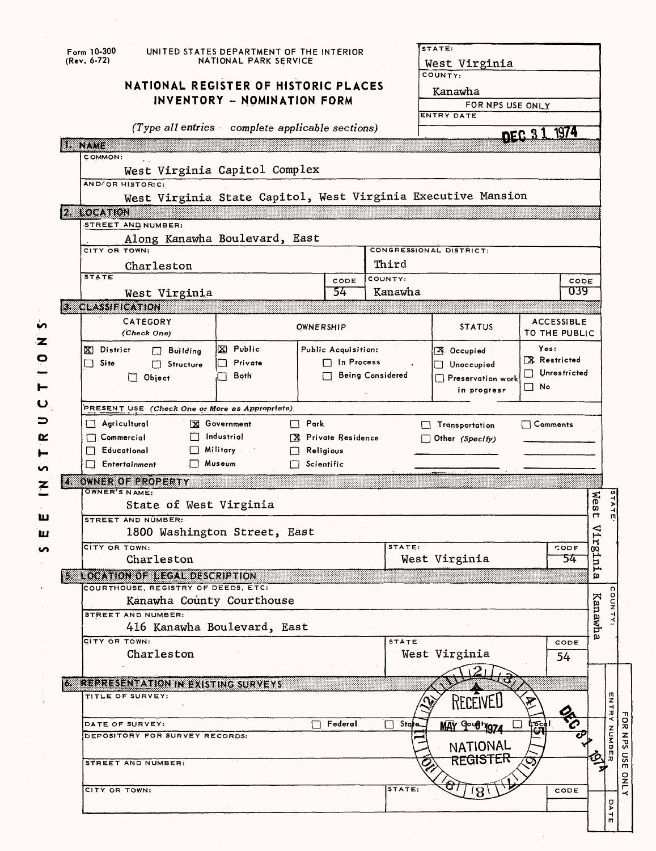|    | $Form 10-300$<br>(Rev. 6-72)                                                  | UNITED STATES DEPARTMENT OF THE INTERIOR<br>NATIONAL PARK SERVICE   |                   |                     |                                   | STATE:<br>West Virginia                                      |                                    |         |             |
|----|-------------------------------------------------------------------------------|---------------------------------------------------------------------|-------------------|---------------------|-----------------------------------|--------------------------------------------------------------|------------------------------------|---------|-------------|
|    |                                                                               | NATIONAL REGISTER OF HISTORIC PLACES<br>INVENTORY - NOMINATION FORM |                   |                     |                                   | COUNTY:<br>Kanawha<br>FOR NPS USE ONLY<br>ENTRY DATE         |                                    |         |             |
|    |                                                                               | (Type all entries - complete applicable sections)                   |                   |                     |                                   |                                                              | DEC 31 1974                        |         |             |
|    | a nata                                                                        |                                                                     |                   |                     |                                   |                                                              |                                    |         |             |
|    | COMMON:<br>AND/OR HISTORIC:                                                   | West Virginia Capitol Complex                                       |                   |                     |                                   | West Virginia State Capitol, West Virginia Executive Mansion |                                    |         |             |
|    | 2 LOCATION                                                                    |                                                                     |                   |                     |                                   |                                                              |                                    |         |             |
|    | STREET AND NUMBER:                                                            |                                                                     |                   |                     |                                   |                                                              |                                    |         |             |
|    | CITY OR TOWN:                                                                 | Along Kanawha Boulevard, East                                       |                   |                     |                                   | CONGRESSIONAL DISTRICT:                                      |                                    |         |             |
|    | Charleston                                                                    |                                                                     |                   |                     | Third                             |                                                              |                                    |         |             |
|    | <b>STATE</b>                                                                  |                                                                     |                   | CODE                | COUNTY:                           |                                                              |                                    | CODE    |             |
|    | West Virginia                                                                 |                                                                     |                   | 54                  | Kanawha                           |                                                              |                                    | 039     |             |
|    | <b>3 CLASSIFICATION</b>                                                       |                                                                     |                   |                     |                                   |                                                              |                                    |         |             |
|    | CATEGORY<br>(Check One)                                                       |                                                                     | OWNERSHIP         |                     |                                   | <b>STATUS</b>                                                | <b>ACCESSIBLE</b><br>TO THE PUBLIC |         |             |
|    | X District<br>$\Box$ Building                                                 | 区 Public                                                            |                   | Public Acquisition: |                                   | X. Occupied                                                  | Yes:                               |         |             |
|    | $\Box$ Site<br>Structure                                                      | Private                                                             |                   | $\Box$ In Process   |                                   | Unoccupied                                                   | X Restricted<br>Unrestricted       |         |             |
|    | $\Box$ Object                                                                 | Both<br>$\mathcal{L}$                                               |                   |                     | $\sqsupset$ Being Considered      | $\Box$ Preservation work                                     | $\Box$ No                          |         |             |
|    |                                                                               |                                                                     |                   |                     |                                   | in progress                                                  |                                    |         |             |
|    | PRESENT USE (Check One or More as Appropriate)                                |                                                                     |                   |                     |                                   |                                                              |                                    |         |             |
|    | Agricultural                                                                  | <b>X</b> Government                                                 | $\Box$ Park       |                     | $\Box$ Comments<br>Transportation |                                                              |                                    |         |             |
|    | $\Box$ Commercial<br>$\Box$ Educational                                       | $\Box$ Industrial<br>Military .                                     | $\Box$ Religious  | X Private Residence |                                   | $\Box$ Other (Specify)                                       |                                    |         |             |
|    | $\Box$ Entertainment                                                          | Museum                                                              | $\Box$ Scientific |                     |                                   |                                                              |                                    |         |             |
| zm | OWNER OF PROPERTY                                                             |                                                                     |                   |                     |                                   |                                                              |                                    |         |             |
|    | OWNER'S NAME:                                                                 |                                                                     |                   |                     |                                   |                                                              |                                    | Nes     |             |
|    | STREET AND NUMBER:                                                            | State of West Virginia                                              |                   |                     |                                   |                                                              |                                    | 4       |             |
|    |                                                                               | 1800 Washington Street, East                                        |                   |                     |                                   |                                                              |                                    | χir     |             |
|    | CITY OR TOWN:                                                                 |                                                                     |                   |                     | STATE:                            |                                                              | CODE                               | uŢ3.    |             |
|    | Charleston                                                                    |                                                                     |                   |                     |                                   | West Virginia                                                | 54                                 | ط       |             |
|    | <b>5 LOCATION OF LEGAL DESCRIPTION</b><br>COURTHOUSE, REGISTRY OF DEEDS, ETC: |                                                                     |                   |                     |                                   |                                                              |                                    | O)      |             |
|    |                                                                               | Kanawha County Courthouse                                           |                   |                     |                                   |                                                              |                                    |         |             |
|    | STREET AND NUMBER:                                                            |                                                                     |                   |                     |                                   |                                                              |                                    | Kanawha |             |
|    |                                                                               | 416 Kanawha Boulevard, East                                         |                   |                     |                                   |                                                              |                                    |         |             |
|    | CITY OR TOWN:                                                                 |                                                                     |                   |                     | <b>STATE</b>                      |                                                              | CODE                               |         |             |
|    | Charleston                                                                    |                                                                     |                   |                     |                                   | West Virginia                                                | 54                                 |         |             |
|    | <b>WEREBESENTATION IN EXISTING SURVEYS</b>                                    |                                                                     |                   |                     |                                   |                                                              |                                    |         |             |
|    | TITLE OF SURVEY:                                                              |                                                                     |                   |                     |                                   |                                                              |                                    |         | ENTRY       |
|    |                                                                               |                                                                     |                   |                     |                                   |                                                              | <b>SEP</b>                         |         |             |
|    | DATE OF SURVEY:                                                               |                                                                     |                   | Federal             | State                             | MAY 9-48+1974                                                |                                    |         |             |
|    | DEPOSITORY FOR SURVEY RECORDS:                                                |                                                                     |                   |                     |                                   |                                                              |                                    |         | <b>NUMB</b> |
|    |                                                                               |                                                                     |                   |                     |                                   |                                                              |                                    |         |             |
|    | STREET AND NUMBER:                                                            |                                                                     |                   |                     |                                   | NATIONAL<br><b>REGISTER</b>                                  |                                    |         |             |
|    |                                                                               |                                                                     |                   |                     |                                   |                                                              |                                    |         |             |
|    | CITY OR TOWN:                                                                 |                                                                     |                   |                     | STATE:                            | 18                                                           | CODE                               |         | <b>DATE</b> |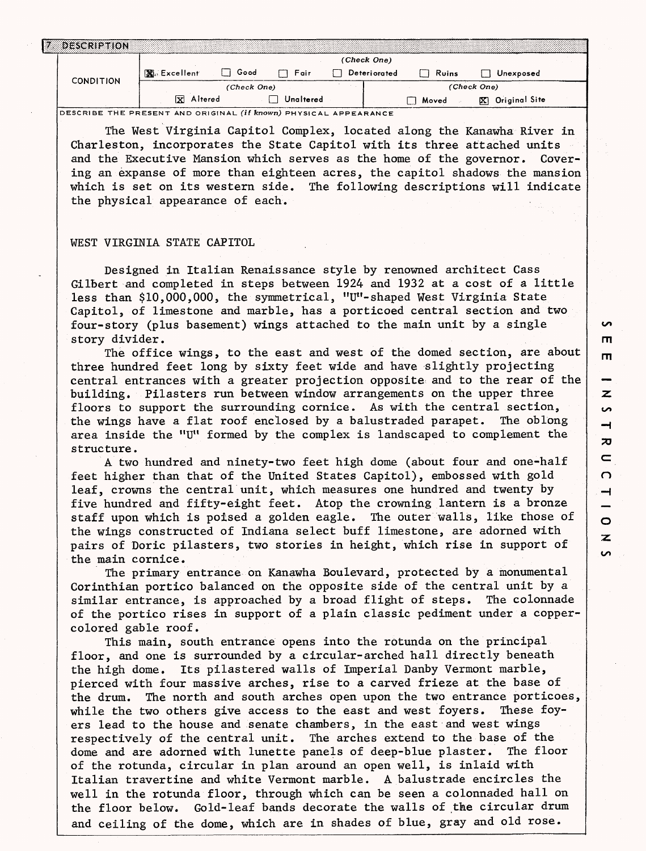|                  |             |             |           | (Check One)  |       |                      |  |
|------------------|-------------|-------------|-----------|--------------|-------|----------------------|--|
|                  | 图 Excellent | Good        | Fair      | Deteriorated | Ruins | Unexposed            |  |
| <b>CONDITION</b> |             | (Check One) |           |              |       | (Check One)          |  |
|                  | X Altered   |             | Unaltered |              | Moved | Original Site<br>IХ. |  |

DESCRIBE THE PRESENT AND ORIGINAL *(if* **known)** PHYSICAL APPEARANCE

The West Virginia Capitol Complex, located along the Kanawha River in Charleston, incorporates the State Capitol with its three attached units and the Executive Mansion which serves as the home of the governor. Covering an expanse of more than eighteen acres, the capitol shadows the mansion which is set on its western side. The following descriptions will indicate the physical appearance of each.

## WEST VIRGINIA STATE CAPITOL

Designed in Italian Renaissance style by renowned architect Cass Gilbert and completed in steps between 1924 and 1932 at a cost of a little less than \$10,000,000, the symmetrical, "U"-shaped West Virginia State Capitol, of limestone and marble, has a porticoed central section and two four-story (plus basement) wings attached to the main unit by a single story divider.

The office wings, to the east and west of the domed section, are about three hundred feet long by sixty feet wide and have slightly projecting central entrances with a greater projection opposite and to the rear of the building. Pilasters run between window arrangements on the upper three floors to support the surrounding cornice. As with the central section, the wings have a flat roof enclosed by a balustraded parapet. The oblong area inside the "U" formed by the complex is landscaped to complement the structure.

A two hundred and ninety-two feet high dome (about four and one-half feet higher than that of the United States Capitol), embossed with gold leaf, crowns the central unit, which measures one hundred and twenty by five hundred and fifty-eight feet. Atop the crowning lantern is a bronze staff upon which is poised a golden eagle. The outer walls, like those of the wings constructed of Indiana select buff limestone, are adorned with pairs of Doric pilasters, two stories in height, which rise in support of the main cornice.

The primary entrance on Kanawha Boulevard, protected by a monumental Corinthian portico balanced on the opposite side of the central unit by a similar entrance, is approached by a broad flight of steps. The colonnade of the portico rises in support of a plain classic pediment under a coppercolored gable roof.

This main, south entrance opens into the rotunda on the principal floor, and one is surrounded by a circular-arched hall directly beneath the high dome. Its pilastered walls of Imperial Danby Vermont marble, pierced with four massive arches, rise to a carved frieze at the base of the drum. The north and south arches open upon the two entrance porticoes, while the two others give access to the east and west foyers. These foyers lead to the house and senate chambers, in the east and west wings respectively of the central unit. The arches extend to the base of the dome and are adorned with lunette panels of deep-blue plaster. The floor of the rotunda, circular in plan around an open well, is inlaid with Italian travertine and white Vermont marble. A balustrade encircles the well in the rotunda floor, through which can be seen a colonnaded hall on the floor below. Gold-leaf bands decorate the walls of the circular drum and ceiling of the dome, which are in shades of blue, gray and old rose.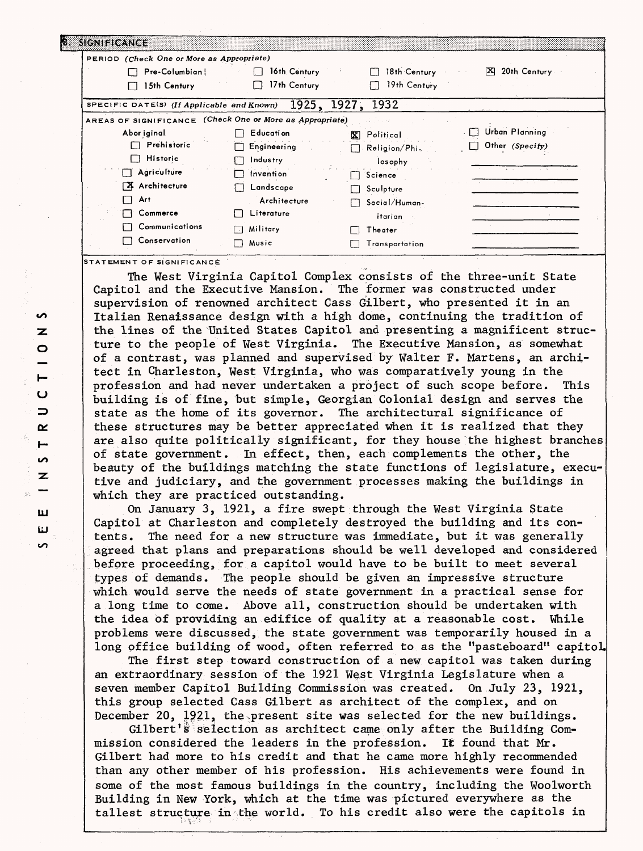| PERIOD (Check One or More as Appropriate)                |                |                              |                            |
|----------------------------------------------------------|----------------|------------------------------|----------------------------|
| Pre-Columbian                                            | 16th Century   | 18th Century<br>$\mathbf{I}$ | 20th Century<br><b>EXI</b> |
| 15th Century                                             | 17th Century   | 19th Century                 |                            |
| SPECIFIC DATE(S) (If Applicable and Known)               |                | 1925, 1927,<br>1932          |                            |
| AREAS OF SIGNIFICANCE (Check One or More as Appropriate) |                |                              |                            |
| Abor iginal                                              | Education      | X Political                  | Urban Planning             |
| Prehistoric                                              | Engineering    | $\Box$ Religion/Phi.         | Other (Specity)            |
| <b>Historic</b>                                          | Industry       | losophy                      |                            |
| Agriculture                                              | Invention      | Science                      |                            |
| <b>X</b> Architecture                                    | Landscape      | Sculpture                    |                            |
| Art                                                      | Architecture   | Social/Human-                |                            |
| Commerce                                                 | Literature     | itarian                      |                            |
| Communications                                           | Military<br>ГJ | Theater                      |                            |
| Conservation                                             | Music<br>□     | Transportation               |                            |

**STATEMENT OF SIGNIFICANCE** 

The West Virginia Capitol Complex consists of the three-unit State Capitol and the Executive Mansion. The former was constructed under supervision of renowned architect Cass Gilbert, who presented it in an Italian Renaissance design with a high dome, continuing the tradition of the lines of the United States Capitol and presenting a magnificent structure to the people of West Virginia. The Executive Mansion, as somewhat of a contrast, was planned and supervised by Walter F. Martens, an architect in Charleston, West Virginia, who was comparatively young in the profession and had never undertaken a project of such scope before. This building is of fine, but simple, Georgian Colonial design and serves the state as the home of its governor. The architectural significance of these structures may be better appreciated when it is realized that they are also quite politically significant, for they house the highest branches of state government. In effect, then, each complements the other, the beauty of the buildings matching the state functions of legislature, executive and judiciary, and the government processes making the buildings in which they are practiced outstanding.

On January 3, 1921, a fire swept through the West Virginia State Capitol at Charleston and completely destroyed the building and its contents. The need for a new structure was immediate, but it was generally agreed that plans and preparations should be well developed and considered before proceeding, for a capitol would have to be built to meet several types of demands. The people should be given an impressive structure which would serve the needs of state government in a practical sense for a long time to come. Above all, construction should be undertaken with the idea of providing an edifice of quality at a reasonable cost. While problems were discussed, the state government was temporarily housed in a long office building of wood, often referred to as the "pasteboard" capitol.

The first step toward construction of a new capitol was taken during an extraordinary session of the 1921 West Virginia Legislature when a seven member Capitol Building Commission was created. On July 23, 1921, this group selected Cass Gilbert as architect of the complex, and on December 20, 1921, the present site was selected for the new buildings.

Gilbert's selection as architect came only after the Building Commission considered the leaders in the profession. It found that Mr. Gilbert had more to his credit and that he came more highly recommended than any other member of his profession. His achievements were found in some of the most famous buildings in the country, including the Woolworth Building in New York, which at the time was pictured everywhere as the tallest structure in the world. To his credit also were the capitols in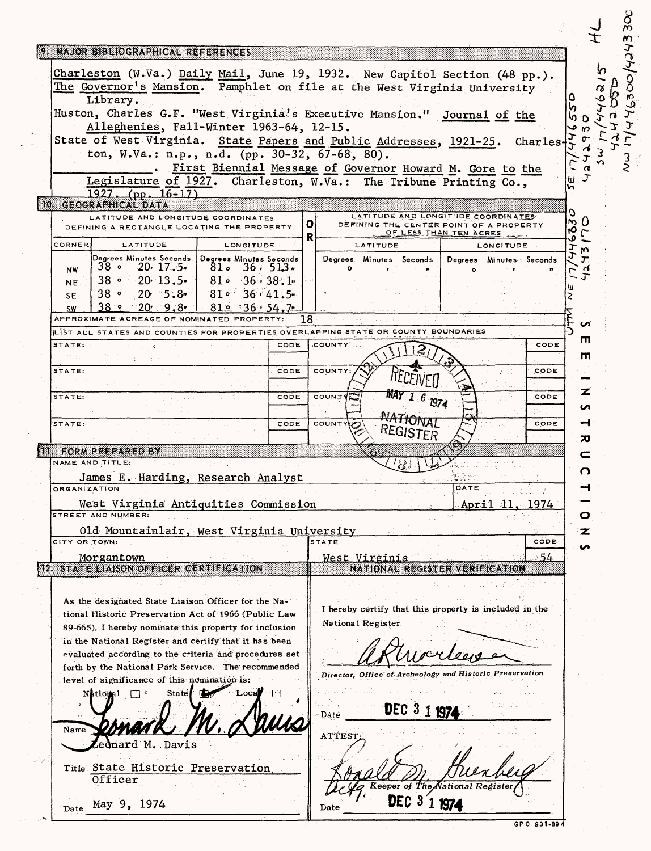|               | 9 MAJOR BIBLIOGRAPHICAL REFERENCES                                                 |       |                        |                  |      |    |               |                    |                                                                   |      |            |                         |                               |    |
|---------------|------------------------------------------------------------------------------------|-------|------------------------|------------------|------|----|---------------|--------------------|-------------------------------------------------------------------|------|------------|-------------------------|-------------------------------|----|
|               | Charleston (W.Va.) Daily Mail, June 19, 1932. New Capitol Section (48 pp.).        |       |                        |                  |      |    |               |                    |                                                                   |      |            |                         |                               |    |
|               | The Governor's Mansion. Pamphlet on file at the West Virginia University           |       |                        |                  |      |    |               |                    |                                                                   |      |            |                         |                               |    |
|               | Library.                                                                           |       |                        |                  |      |    |               |                    |                                                                   |      |            |                         |                               |    |
|               | Huston, Charles G.F. "West Virginia's Executive Mansion." Journal of the           |       |                        |                  |      |    |               |                    |                                                                   |      |            |                         |                               |    |
|               | Alleghenies, Fall-Winter 1963-64, 12-15.                                           |       |                        |                  |      |    |               |                    |                                                                   |      |            |                         | D                             |    |
|               | State of West Virginia. State Papers and Public Addresses, 1921-25.                |       |                        |                  |      |    |               |                    |                                                                   |      |            |                         |                               |    |
|               | ton, W.Va.: n.p., n.d. (pp. 30-32, 67-68, 80).                                     |       |                        |                  |      |    |               |                    |                                                                   |      |            | Charles                 |                               |    |
|               |                                                                                    |       |                        |                  |      |    |               |                    |                                                                   |      |            |                         |                               |    |
|               | Legislature of 1927. Charleston, W.Va.: The Tribune Printing Co.,                  |       |                        |                  |      |    |               |                    | First Biennial Message of Governor Howard M. Gore to the          |      |            |                         | ш                             |    |
|               | $1927.$ (pp. 16-17)                                                                |       |                        |                  |      |    |               |                    |                                                                   |      |            |                         | n                             |    |
|               | 10 GEOGRAPHICAL DATA                                                               |       |                        |                  |      |    |               |                    |                                                                   |      |            |                         |                               |    |
|               | LATITUDE AND LONGITUDE COORDINATES                                                 |       |                        |                  |      |    |               |                    | LATITUDE AND LONGITUDE COORDINATES                                |      |            |                         | O<br>m D                      |    |
|               | DEFINING A RECTANGLE LOCATING THE PROPERTY.                                        |       |                        |                  |      | O. |               |                    | DEFINING THE CENTER POINT OF A PROPERTY<br>OF LESS THAN TEN ACRES |      |            |                         | ۲Ο<br>$\mathsf{C}$            |    |
| <b>CORNER</b> | LATITUDE                                                                           |       |                        | <b>LONGITUDE</b> |      | R  |               | <b>LATITUDE</b>    |                                                                   |      | LONGITUDE. |                         | ٥<br>ᢧ                        |    |
|               | Degrees Minutes Seconds Degrees Minutes Seconds                                    |       |                        |                  |      |    |               |                    | Degrees. Minutes Seconds                                          |      |            | Degrees Minutes Seconds | m<br>J<br>$\boldsymbol{\tau}$ |    |
| <b>NW</b>     | $38 \cdot 20 \cdot 17.5$                                                           |       | 81.                    | $36 \cdot 513$   |      |    |               |                    |                                                                   |      |            |                         |                               | 76 |
| NE.           | $38 \cdot 20 \cdot 13.5$                                                           |       | $-81$ $-36.38.1$       |                  |      |    |               |                    |                                                                   |      |            |                         |                               |    |
| SE.           | 38°<br>$20 \cdot 5.8$                                                              |       |                        | $81 - 36 - 41.5$ |      |    |               |                    |                                                                   |      |            |                         |                               |    |
| <b>SW</b>     | ء 38<br>20 9.8 -                                                                   |       |                        | 810.36.54.7      |      |    |               |                    |                                                                   |      |            |                         |                               |    |
|               |                                                                                    |       | OF NOMINATED PROPERTY: |                  |      | 18 |               |                    |                                                                   |      |            |                         | uñ                            |    |
|               | LIST ALL STATES AND COUNTIES FOR PROPERTIES OVERLAPPING STATE OR COUNTY BOUNDARIES |       |                        |                  |      |    |               |                    |                                                                   |      |            |                         | ш                             |    |
| STATE:        |                                                                                    |       |                        |                  | CODE |    | <b>COUNTY</b> |                    |                                                                   |      |            | CODE                    | m                             |    |
| STATE:        |                                                                                    |       |                        |                  | CODE |    | COUNTY        |                    |                                                                   |      |            | CODE                    |                               |    |
|               |                                                                                    |       |                        |                  |      |    |               |                    |                                                                   |      |            |                         |                               |    |
| STATE:        |                                                                                    |       |                        |                  | CODE |    | <b>COUNTY</b> |                    |                                                                   |      |            | CODE                    | z                             |    |
|               |                                                                                    |       |                        |                  |      |    |               |                    |                                                                   | 1974 |            |                         | n                             |    |
| STATE:        |                                                                                    |       |                        |                  | CODE |    | COUNTY        |                    | <b>fONAL</b>                                                      |      |            | CODE                    | ⊣                             |    |
|               |                                                                                    |       |                        |                  |      |    |               |                    | REGISTER.                                                         |      |            |                         |                               |    |
|               |                                                                                    |       |                        |                  |      |    |               |                    |                                                                   |      |            |                         |                               |    |
|               | III. FORM PREPARED BY                                                              |       |                        |                  |      |    |               |                    |                                                                   |      |            |                         | ᅍ                             |    |
|               | NAME AND TITLE:                                                                    |       |                        |                  |      |    |               |                    |                                                                   |      |            |                         | c                             |    |
|               | James E. Harding, Research Analyst                                                 |       |                        |                  |      |    |               |                    |                                                                   |      |            |                         |                               | O. |
|               | <b>ORGANIZATION</b>                                                                |       |                        |                  |      |    |               |                    |                                                                   | DATE |            |                         |                               |    |
|               |                                                                                    |       |                        |                  |      |    |               |                    |                                                                   |      | Aprıı      | 1974                    |                               |    |
|               | West Virginia Antiquities Commission<br>STREET AND NUMBER:                         |       |                        |                  |      |    |               |                    |                                                                   |      |            |                         | 0                             |    |
|               | Old Mountainlair, West Virginia University                                         |       |                        |                  |      |    |               |                    |                                                                   |      |            |                         | z                             |    |
|               | CITY OR TOWN:                                                                      |       |                        |                  |      |    | STATE         |                    |                                                                   |      |            | CODE                    | S                             |    |
|               | <u>Morgantown</u>                                                                  |       |                        |                  |      |    |               | West Virginia      |                                                                   |      |            | 54                      |                               |    |
|               | 12 STATE LIAISON OFFICER CERTIFICATION                                             |       |                        |                  |      |    |               |                    | NATIONAL REGISTER VERIFICATION                                    |      |            |                         |                               |    |
|               |                                                                                    |       |                        |                  |      |    |               |                    |                                                                   |      |            |                         |                               |    |
|               | As the designated State Liaison Officer for the Na-                                |       |                        |                  |      |    |               |                    |                                                                   |      |            |                         |                               |    |
|               | tional Historic Preservation Act of 1966 (Public Law                               |       |                        |                  |      |    |               |                    | I hereby certify that this property is included in the            |      |            |                         |                               |    |
|               | 89-665), I hereby nominate this property for inclusion                             |       |                        |                  |      |    |               | National Register. |                                                                   |      |            |                         |                               |    |
|               | in the National Register and certify that it has been                              |       |                        |                  |      |    |               |                    |                                                                   |      |            |                         |                               |    |
|               | evaluated according to the criteria and procedures set                             |       |                        |                  |      |    |               |                    |                                                                   |      |            |                         |                               |    |
|               | forth by the National Park Service. The recommended                                |       |                        |                  |      |    |               |                    |                                                                   |      |            |                         |                               |    |
|               | level of significance of this nomination is:                                       |       |                        |                  |      |    |               |                    | Director, Office of Archeology and Historic Preservation          |      |            |                         |                               |    |
|               | National                                                                           | State |                        |                  |      |    |               |                    |                                                                   |      |            |                         |                               |    |
|               |                                                                                    |       |                        |                  |      |    |               |                    | DEC $31$                                                          |      |            |                         |                               |    |
|               |                                                                                    |       |                        |                  |      |    | Date          |                    |                                                                   | 197  |            |                         |                               |    |
| Name          |                                                                                    |       |                        |                  |      |    | ATTEST        |                    |                                                                   |      |            |                         |                               |    |
|               | ednard M. Davis                                                                    |       |                        |                  |      |    |               |                    |                                                                   |      |            |                         |                               |    |
| 45 P          |                                                                                    |       |                        |                  |      |    |               |                    |                                                                   |      |            |                         |                               |    |
|               | Title State Historic Preservation<br>Officer                                       |       |                        |                  |      |    |               |                    |                                                                   |      |            |                         |                               |    |
|               |                                                                                    |       |                        |                  |      |    |               |                    | eeper of The Nation.<br>DEC 3'1 1974                              |      |            |                         |                               |    |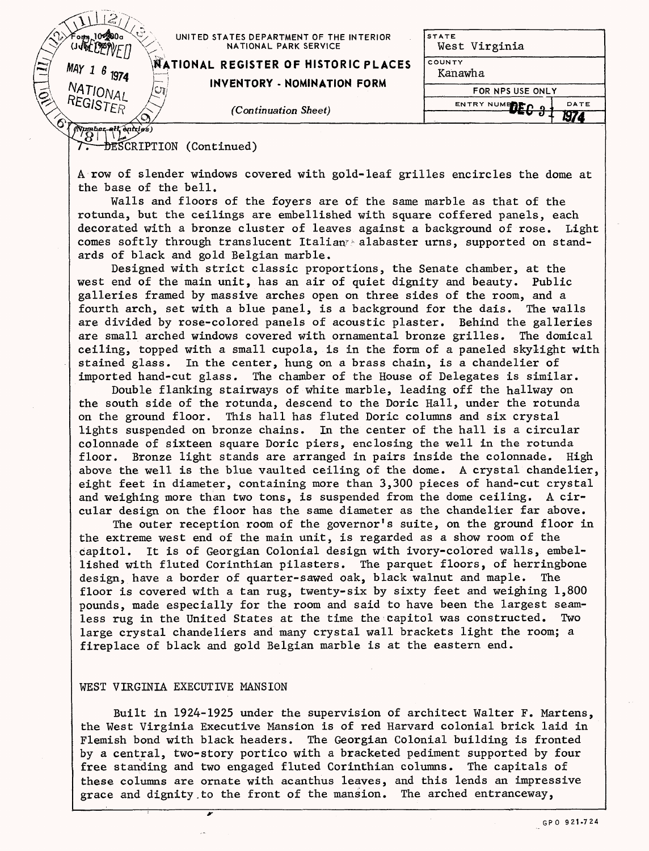| Con a<br>10 300 a                  | UNITED STATES DEPARTMENT OF THE INTERIOR<br>NATIONAL PARK SERVICE   | <b>STATE</b><br>West Virginia             |
|------------------------------------|---------------------------------------------------------------------|-------------------------------------------|
| $\mathbf{N}$<br>$MAY$ 1<br>1974    | MATIONAL REGISTER OF HISTORIC PLACES<br>INVENTORY - NOMINATION FORM | COUNTY<br>Kanawha                         |
| NATIONAL<br>أچ<br>្ធ<br>A REGISTER |                                                                     | FOR NPS USE ONLY<br>DATE<br>ENTRY NUMERED |
|                                    | (Continuation Sheet)                                                | M7                                        |
| $M$ umber all entries)             |                                                                     |                                           |

**EXCRIPTION** (Continued)

A row of slender windows covered with gold-leaf grilles encircles the dome at the base of the bell.

Walls and floors of the foyers are of the same marble as that of the rotunda, but the ceilings are embellished with square coffered panels, each decorated with a bronze cluster of leaves against a background of rose. Light comes softly through translucent Italian alabaster urns, supported on standards of black and gold Belgian marble.

Designed with strict classic proportions, the Senate chamber, at the west end of the main unit, has an air of quiet dignity and beauty. Public galleries framed by massive arches open on three sides of the room, and a fourth arch, set with a blue panel, is a background for the dais. The walls are divided by rose-colored panels of acoustic plaster. Behind the galleries are small arched windows covered with ornamental bronze grilles. The domical ceiling, topped with a small cupola, is in the form of a paneled skylight with stained glass. In the center, hung on a brass chain, is a chandelier of imported hand-cut glass. The chamber of the House of Delegates is similar.

Double flanking stairways of white marble, leading off the hallway on the south side of the rotunda, descend to the Doric Hall, under the rotunda on the ground floor. This hall has fluted Doric columns and six crystal lights suspended on bronze chains. In the center of the hall is a circular colonnade of sixteen square Doric piers, enclosing the well in the rotunda floor. Bronze light stands are arranged in pairs inside the colonnade. High above the well is the blue vaulted ceiling of the dome. A crystal chandelier, eight feet in diameter, containing more than 3,300 pieces of hand-cut crystal and weighing more than two tons, is suspended from the dome ceiling. A circular design on the floor has the same diameter as the chandelier far above.

The outer reception room of the governor's suite, on the ground floor in the extreme west end of the main unit, is regarded as a show room of the capitol. It is of Georgian Colonial design with ivory-colored walls, embellished with fluted Corinthian pilasters. The parquet floors, of herringbone design, have a border of quarter-sawed oak, black walnut and maple. The floor is covered with a tan rug, twenty-six by sixty feet and weighing 1,800 pounds, made especially for the room and said to have been the largest seamless rug in the United States at the time the Capitol was constructed. Two large crystal chandeliers and many crystal wall brackets light the room; a fireplace of black and gold Belgian marble is at the eastern end.

### WEST VIRGINIA EXECUTIVE MANSION

; *~r*

Built in 1924-1925 under the supervision of architect Walter F. Martens, the West Virginia Executive Mansion is of red Harvard colonial brick laid in Flemish bond with black headers. The Georgian Colonial building is fronted by a central, two-story portico with a bracketed pediment supported by four free standing and two engaged fluted Corinthian columns. The capitals of these columns are ornate with acanthus leaves, and this lends an impressive grace and dignity.to the front of the mansion. The arched entranceway,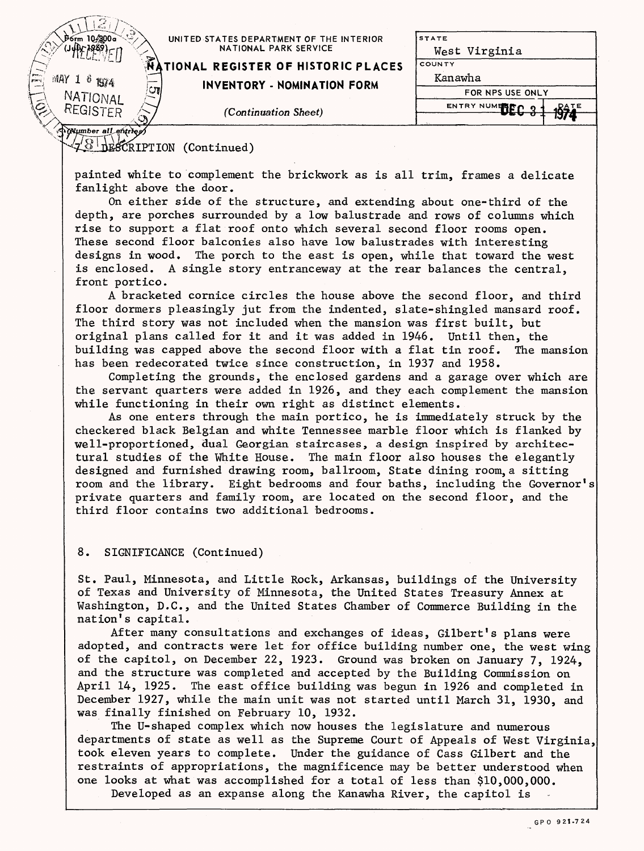| . Porm 10.300a               | UNITED STATES DEPARTMENT OF THE INTERIOR<br>NATIONAL PARK SERVICE | <b>ISTATE</b><br>West Virginia  |  |  |
|------------------------------|-------------------------------------------------------------------|---------------------------------|--|--|
|                              | <b>AATIONAL REGISTER OF HISTORIC PLACES</b>                       | COUNTY                          |  |  |
| pres.<br>Part<br>ИΑΥ<br>1974 | <b>INVENTORY - NOMINATION FORM</b>                                | Kanawha                         |  |  |
| ្វា<br>NATIONAL              |                                                                   | FOR NPS USE ONLY                |  |  |
| REGISTER                     |                                                                   | ENTRY NUMERED 0<br><b>1841E</b> |  |  |
|                              | (Continuation Sheet)                                              |                                 |  |  |
| A Mumber all entries         |                                                                   |                                 |  |  |

 $\sqrt{28}$  DESCRIPTION (Continued)

painted white to complement the brickwork as is all trim, frames a delicate fanlight above the door.

On either side of the structure, and extending about one-third of the depth, are porches surrounded by a low balustrade and rows of columns which rise to support a flat roof onto which several second floor rooms open. These second floor balconies also have low balustrades with interesting designs in wood. The porch to the east is open, while that toward the west is enclosed. A single story entranceway at the rear balances the central, front portico.

A bracketed cornice circles the house above the second floor, and third floor dormers pleasingly jut from the indented, slate-shingled mansard roof. The third story was not included when the mansion was first built, but original plans called for it and it was added in 1946. Until then, the building was capped above the second floor with a flat tin roof. The mansion has been redecorated twice since construction, in 1937 and 1958.

Completing the grounds, the enclosed gardens and a garage over which are the servant quarters were added in 1926, and they each complement the mansion while functioning in their own right as distinct elements.

As one enters through the main portico, he is immediately struck by the checkered black Belgian and white Tennessee marble floor which is flanked by well-proportioned, dual Georgian staircases, a design inspired by architectural studies of the White House. The main floor also houses the elegantly designed and furnished drawing room, ballroom, State dining room,a sitting room and the library. Eight bedrooms and four baths, including the Governor's private quarters and family room, are located on the second floor, and the third floor contains two additional bedrooms.

8. SIGNIFICANCE (Continued)

St. Paul, Minnesota, and Little Rock, Arkansas, buildings of the University of Texas and University of Minnesota, the United States Treasury Annex at Washington, D.C., and the United States Chamber of Commerce Building in the nation's capital.

After many consultations and exchanges of ideas, Gilbert's plans were adopted, and contracts were let for office building number one, the west wing of the capitol, on December 22, 1923. Ground was broken on January 7, 1924, and the structure was completed and accepted by the Building Commission on April 14, 1925. The east office building was begun in 1926 and completed in December 1927, while the main unit was not started until March 31, 1930, and was finally finished on February 10, 1932.

The U-shaped complex which now houses the legislature and numerous departments of state as well as the Supreme Court of Appeals of West Virginia, took eleven years to complete. Under the guidance of Cass Gilbert and the restraints of appropriations, the magnificence may be better understood when one looks at what was accomplished for a total of less than \$10,000,000. Developed as an expanse along the Kanawha River, the capitol is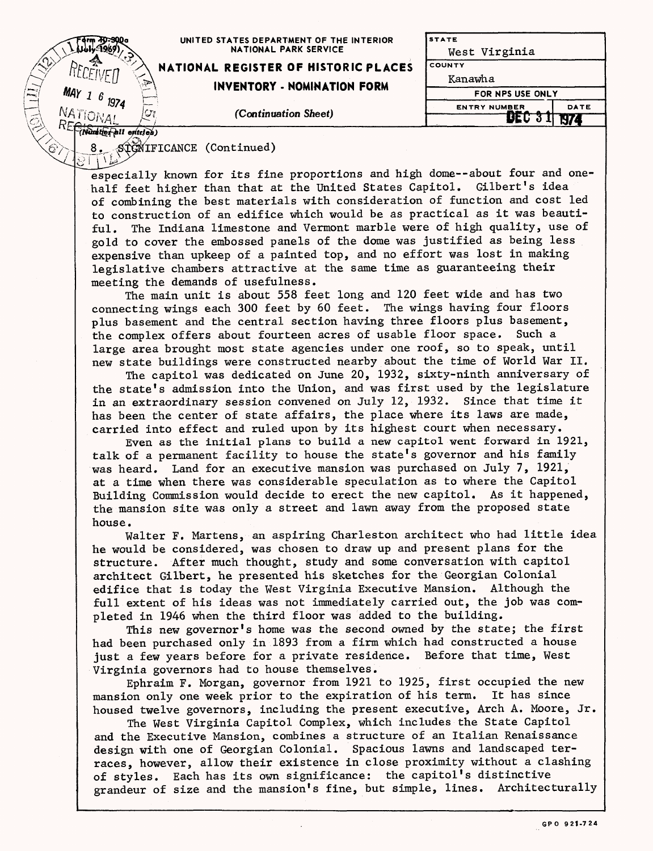|                                             | UNITED STATES DEPARTMENT OF THE INTERIOR<br><b>NATIONAL PARK SERVICE</b> | <b>STATE</b><br>West Virginia |      |  |
|---------------------------------------------|--------------------------------------------------------------------------|-------------------------------|------|--|
|                                             | NATIONAL REGISTER OF HISTORIC PLACES                                     | <b>COUNTY</b><br>Kanawha      |      |  |
| سخربه<br><b>Proc</b><br><b>MAY</b><br>Power | <b>INVENTORY - NOMINATION FORM</b>                                       | FOR NPS USE ONLY              |      |  |
|                                             | (Continuation Sheet)                                                     | <b>ENTRY NUMBER</b>           | DATE |  |
| entri es                                    |                                                                          |                               |      |  |

STGWIFICANCE (Continued)

especially known for its fine proportions and high dome--about four and onehalf feet higher than that at the United States Capitol. Gilbert's idea of combining the best materials with consideration of function and cost led to construction of an edifice which would be as practical as it was beautiful. The Indiana limestone and Vermont marble were of high quality, use of gold to cover the embossed panels of the dome was justified as being less expensive than upkeep of a painted top, and no effort was lost in making legislative chambers attractive at the same time as guaranteeing their meeting the demands of usefulness.

The main unit is about 558 feet long and 120 feet wide and has two connecting wings each 300 feet by 60 feet. The wings having four floors plus basement and the central section having three floors plus basement, the complex offers about fourteen acres of usable floor space. Such a large area brought most state agencies under one roof, so to speak, until new state buildings were constructed nearby about the time of World War II.

The capitol was dedicated on June 20, 1932, sixty-ninth anniversary of the state's admission into the Union, and was first used by the legislature in an extraordinary session convened on July 12, 1932. Since that time it has been the center of state affairs, the place where its laws are made, carried into effect and ruled upon by its highest court when necessary.

Even as the initial plans to build a new capitol went forward in 1921, talk of a permanent facility to house the state's governor and his family was heard. Land for an executive mansion was purchased on July 7, 1921, at a time when there was considerable speculation as to where the Capitol Building Commission would decide to erect the new capitol. As it happened, the mansion site was only a street and lawn away from the proposed state house.

Walter F. Martens, an aspiring Charleston architect who had little idea he would be considered, was chosen to draw up and present plans for the structure. After much thought, study and some conversation with capitol architect Gilbert, he presented his sketches for the Georgian Colonial edifice that is today the West Virginia Executive Mansion. Although the full extent of his ideas was not immediately carried out, the job was completed in 1946 when the third floor was added to the building.

This new governor's home was the second owned by the state; the first had been purchased only in 1893 from a firm which had constructed a house just a few years before for a private residence. Before that time, West Virginia governors had to house themselves.

Ephraim F. Morgan, governor from 1921 to 1925, first occupied the new mansion only one week prior to the expiration of his term. It has since housed twelve governors, including the present executive, Arch A. Moore, Jr.

The West Virginia Capitol Complex, which includes the State Capitol and the Executive Mansion, combines a structure of an Italian Renaissance design with one of Georgian Colonial. Spacious lawns and landscaped terraces, however, allow their existence in close proximity without a clashing of styles. Each has its own significance: the capitol's distinctive grandeur of size and the mansion's fine, but simple, lines. Architecturally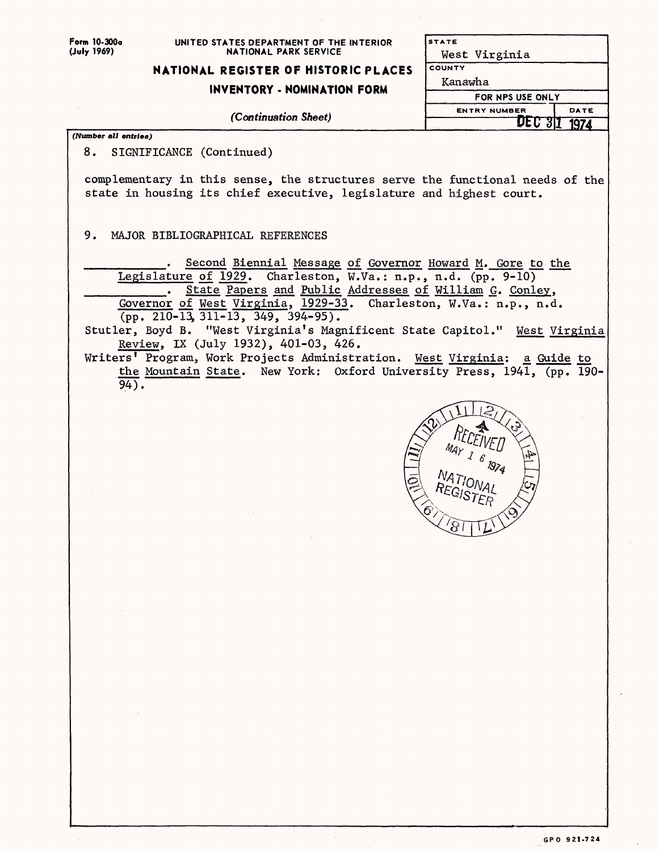**Form 10-300a (July 1969)**

#### **UNITED STATES DEPARTMENT OF THE INTERIOR NATIONAL PARK SERVICE**

## **NATIONAL REGISTER OF HISTORIC PLACES**

# **INVENTORY - NOMINATION FORM**

*(Continuation Sheet)*

**(Number** *all entries)*

8. SIGNIFICANCE (Continued)

complementary in this sense, the structures serve the functional needs of the state in housing its chief executive, legislature and highest court.

9. MAJOR BIBLIOGRAPHICAL REFERENCES

Second Biennial Message of Governor Howard M. Gore to the Legislature of 1929. Charleston, W.Va.: n.p., n.d. (pp. 9-10) . State Papers and Public Addresses of William G. Conley, Governor of West Virginia, 1929-33. Charleston, W.Va.: n.p., n.d.  $(pp. 210-13, 311-13, 349, 394-95)$ .

Stutler, Boyd B. "West Virginia's Magnificent State Capitol." West Virginia Review, IX (July 1932), 401-03, 426.

Writers' Program, Work Projects Administration. West Virginia: a Guide to the Mountain State. New York: Oxford University Press, 1941, (pp. 190- $94$ ).



**STATE**

**COUNTY**

Kanawha

West Virginia

**ENTRY NUMBER**

**FOR NPS USE ONLY**

 $\overline{\text{DEC 3I}}$ 

**DATE 11974"**